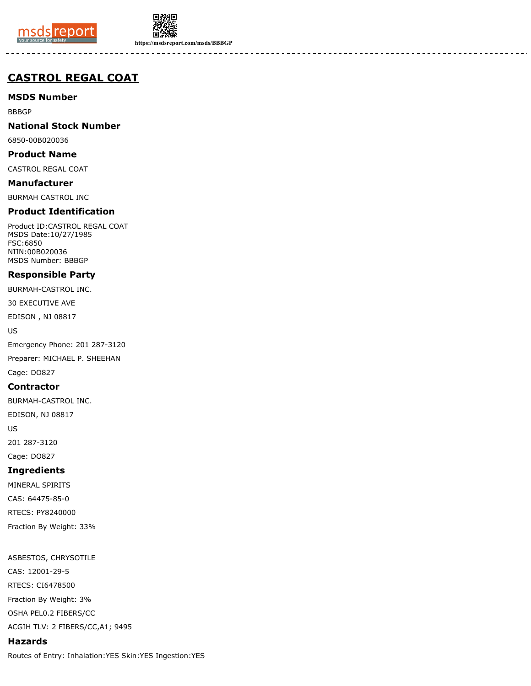



**https://msdsreport.com/msds/BBBGP**

# **CASTROL REGAL COAT**

**MSDS Number**

BBBGP

## **National Stock Number**

6850-00B020036

#### **Product Name**

CASTROL REGAL COAT

#### **Manufacturer**

BURMAH CASTROL INC

## **Product Identification**

Product ID:CASTROL REGAL COAT MSDS Date:10/27/1985 FSC:6850 NIIN:00B020036 MSDS Number: BBBGP

## **Responsible Party**

BURMAH-CASTROL INC.

30 EXECUTIVE AVE

EDISON , NJ 08817

US

Emergency Phone: 201 287-3120 Preparer: MICHAEL P. SHEEHAN

Cage: DO827

#### **Contractor**

BURMAH-CASTROL INC.

EDISON, NJ 08817

US

201 287-3120

Cage: DO827

## **Ingredients**

MINERAL SPIRITS CAS: 64475-85-0 RTECS: PY8240000 Fraction By Weight: 33%

ASBESTOS, CHRYSOTILE CAS: 12001-29-5 RTECS: CI6478500 Fraction By Weight: 3% OSHA PEL0.2 FIBERS/CC ACGIH TLV: 2 FIBERS/CC,A1; 9495

## **Hazards**

Routes of Entry: Inhalation:YES Skin:YES Ingestion:YES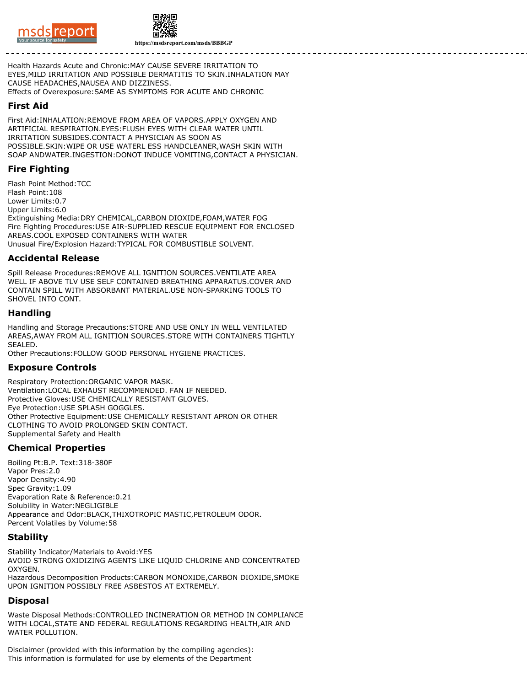



**https://msdsreport.com/msds/BBBGP**

Health Hazards Acute and Chronic:MAY CAUSE SEVERE IRRITATION TO EYES,MILD IRRITATION AND POSSIBLE DERMATITIS TO SKIN.INHALATION MAY CAUSE HEADACHES,NAUSEA AND DIZZINESS. Effects of Overexposure:SAME AS SYMPTOMS FOR ACUTE AND CHRONIC

#### **First Aid**

First Aid:INHALATION:REMOVE FROM AREA OF VAPORS.APPLY OXYGEN AND ARTIFICIAL RESPIRATION.EYES:FLUSH EYES WITH CLEAR WATER UNTIL IRRITATION SUBSIDES.CONTACT A PHYSICIAN AS SOON AS POSSIBLE.SKIN:WIPE OR USE WATERL ESS HANDCLEANER,WASH SKIN WITH SOAP ANDWATER.INGESTION:DONOT INDUCE VOMITING,CONTACT A PHYSICIAN.

## **Fire Fighting**

Flash Point Method:TCC Flash Point:108 Lower Limits:0.7 Upper Limits:6.0 Extinguishing Media:DRY CHEMICAL,CARBON DIOXIDE,FOAM,WATER FOG Fire Fighting Procedures:USE AIR-SUPPLIED RESCUE EQUIPMENT FOR ENCLOSED AREAS.COOL EXPOSED CONTAINERS WITH WATER Unusual Fire/Explosion Hazard:TYPICAL FOR COMBUSTIBLE SOLVENT.

#### **Accidental Release**

Spill Release Procedures:REMOVE ALL IGNITION SOURCES.VENTILATE AREA WELL IF ABOVE TLV USE SELF CONTAINED BREATHING APPARATUS.COVER AND CONTAIN SPILL WITH ABSORBANT MATERIAL.USE NON-SPARKING TOOLS TO SHOVEL INTO CONT.

#### **Handling**

Handling and Storage Precautions:STORE AND USE ONLY IN WELL VENTILATED AREAS,AWAY FROM ALL IGNITION SOURCES.STORE WITH CONTAINERS TIGHTLY SEALED.

Other Precautions:FOLLOW GOOD PERSONAL HYGIENE PRACTICES.

#### **Exposure Controls**

Respiratory Protection:ORGANIC VAPOR MASK. Ventilation:LOCAL EXHAUST RECOMMENDED. FAN IF NEEDED. Protective Gloves:USE CHEMICALLY RESISTANT GLOVES. Eye Protection:USE SPLASH GOGGLES. Other Protective Equipment:USE CHEMICALLY RESISTANT APRON OR OTHER CLOTHING TO AVOID PROLONGED SKIN CONTACT. Supplemental Safety and Health

## **Chemical Properties**

Boiling Pt:B.P. Text:318-380F Vapor Pres:2.0 Vapor Density:4.90 Spec Gravity:1.09 Evaporation Rate & Reference:0.21 Solubility in Water:NEGLIGIBLE Appearance and Odor:BLACK,THIXOTROPIC MASTIC,PETROLEUM ODOR. Percent Volatiles by Volume:58

## **Stability**

Stability Indicator/Materials to Avoid:YES AVOID STRONG OXIDIZING AGENTS LIKE LIQUID CHLORINE AND CONCENTRATED OXYGEN. Hazardous Decomposition Products:CARBON MONOXIDE,CARBON DIOXIDE,SMOKE UPON IGNITION POSSIBLY FREE ASBESTOS AT EXTREMELY.

#### **Disposal**

Waste Disposal Methods:CONTROLLED INCINERATION OR METHOD IN COMPLIANCE WITH LOCAL,STATE AND FEDERAL REGULATIONS REGARDING HEALTH,AIR AND WATER POLLUTION.

Disclaimer (provided with this information by the compiling agencies): This information is formulated for use by elements of the Department